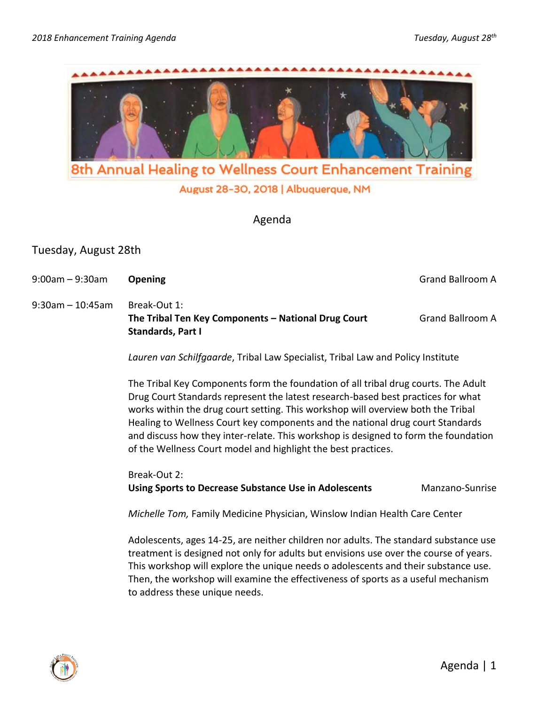

August 28-30, 2018 | Albuquerque, NM

Agenda

# Tuesday, August 28th

9:00am – 9:30am **Opening Canadian Contract Canadian Canadian Canadian Canadian Canadian Canadian Canadian Canadian Canadian Canadian Canadian Canadian Canadian Canadian Canadian Canadian Canadian Canadian Canadian Canadi** 

9:30am – 10:45am Break-Out 1: **The Tribal Ten Key Components – National Drug Court Grand Ballroom A Standards, Part I**

*Lauren van Schilfgaarde*, Tribal Law Specialist, Tribal Law and Policy Institute

The Tribal Key Components form the foundation of all tribal drug courts. The Adult Drug Court Standards represent the latest research-based best practices for what works within the drug court setting. This workshop will overview both the Tribal Healing to Wellness Court key components and the national drug court Standards and discuss how they inter-relate. This workshop is designed to form the foundation of the Wellness Court model and highlight the best practices.

Break-Out 2: **Using Sports to Decrease Substance Use in Adolescents Manzano-Sunrise** 

*Michelle Tom,* Family Medicine Physician, Winslow Indian Health Care Center

Adolescents, ages 14-25, are neither children nor adults. The standard substance use treatment is designed not only for adults but envisions use over the course of years. This workshop will explore the unique needs o adolescents and their substance use. Then, the workshop will examine the effectiveness of sports as a useful mechanism to address these unique needs.

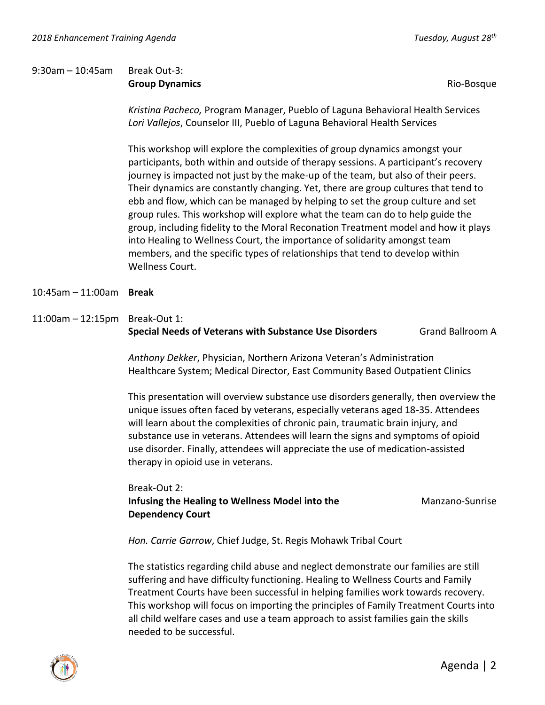# 9:30am – 10:45am Break Out-3: **Group Dynamics Group And Contract Contract Contract Contract Contract Contract Contract Contract Contract Contract Contract Contract Contract Contract Contract Contract Contract Contract Contract Contract Contract Contr**

*Kristina Pacheco,* Program Manager, Pueblo of Laguna Behavioral Health Services *Lori Vallejos*, Counselor III, Pueblo of Laguna Behavioral Health Services

This workshop will explore the complexities of group dynamics amongst your participants, both within and outside of therapy sessions. A participant's recovery journey is impacted not just by the make-up of the team, but also of their peers. Their dynamics are constantly changing. Yet, there are group cultures that tend to ebb and flow, which can be managed by helping to set the group culture and set group rules. This workshop will explore what the team can do to help guide the group, including fidelity to the Moral Reconation Treatment model and how it plays into Healing to Wellness Court, the importance of solidarity amongst team members, and the specific types of relationships that tend to develop within Wellness Court.

- 10:45am 11:00am **Break**
- 11:00am 12:15pm Break-Out 1: **Special Needs of Veterans with Substance Use Disorders** Grand Ballroom A

*Anthony Dekker*, Physician, Northern Arizona Veteran's Administration Healthcare System; Medical Director, East Community Based Outpatient Clinics

This presentation will overview substance use disorders generally, then overview the unique issues often faced by veterans, especially veterans aged 18-35. Attendees will learn about the complexities of chronic pain, traumatic brain injury, and substance use in veterans. Attendees will learn the signs and symptoms of opioid use disorder. Finally, attendees will appreciate the use of medication-assisted therapy in opioid use in veterans.

Break-Out 2: **Infusing the Healing to Wellness Model into the Manzano-Sunrise Influence Internal Manzano-Sunrise Dependency Court**

*Hon. Carrie Garrow*, Chief Judge, St. Regis Mohawk Tribal Court

The statistics regarding child abuse and neglect demonstrate our families are still suffering and have difficulty functioning. Healing to Wellness Courts and Family Treatment Courts have been successful in helping families work towards recovery. This workshop will focus on importing the principles of Family Treatment Courts into all child welfare cases and use a team approach to assist families gain the skills needed to be successful.

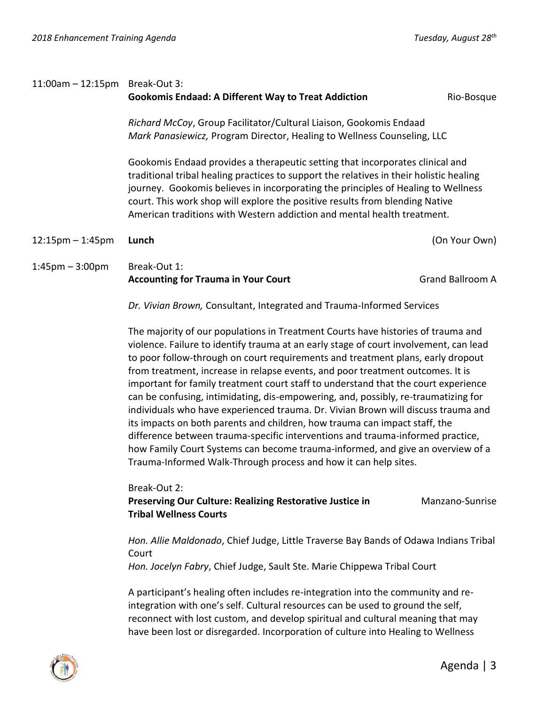| $11:00$ am - $12:15$ pm Break-Out 3: | <b>Gookomis Endaad: A Different Way to Treat Addiction</b>                                                                                                                                                                                                                                                                                                                                                               | Rio-Bosque              |  |
|--------------------------------------|--------------------------------------------------------------------------------------------------------------------------------------------------------------------------------------------------------------------------------------------------------------------------------------------------------------------------------------------------------------------------------------------------------------------------|-------------------------|--|
|                                      | Richard McCoy, Group Facilitator/Cultural Liaison, Gookomis Endaad<br>Mark Panasiewicz, Program Director, Healing to Wellness Counseling, LLC                                                                                                                                                                                                                                                                            |                         |  |
|                                      | Gookomis Endaad provides a therapeutic setting that incorporates clinical and<br>traditional tribal healing practices to support the relatives in their holistic healing<br>journey. Gookomis believes in incorporating the principles of Healing to Wellness<br>court. This work shop will explore the positive results from blending Native<br>American traditions with Western addiction and mental health treatment. |                         |  |
| $12:15 \text{pm} - 1:45 \text{pm}$   | Lunch                                                                                                                                                                                                                                                                                                                                                                                                                    | (On Your Own)           |  |
| $1:45$ pm $-3:00$ pm                 | Break-Out 1:<br><b>Accounting for Trauma in Your Court</b>                                                                                                                                                                                                                                                                                                                                                               | <b>Grand Ballroom A</b> |  |
|                                      | Dr. Vivian Brown, Consultant, Integrated and Trauma-Informed Services                                                                                                                                                                                                                                                                                                                                                    |                         |  |

The majority of our populations in Treatment Courts have histories of trauma and violence. Failure to identify trauma at an early stage of court involvement, can lead to poor follow-through on court requirements and treatment plans, early dropout from treatment, increase in relapse events, and poor treatment outcomes. It is important for family treatment court staff to understand that the court experience can be confusing, intimidating, dis-empowering, and, possibly, re-traumatizing for individuals who have experienced trauma. Dr. Vivian Brown will discuss trauma and its impacts on both parents and children, how trauma can impact staff, the difference between trauma-specific interventions and trauma-informed practice, how Family Court Systems can become trauma-informed, and give an overview of a Trauma-Informed Walk-Through process and how it can help sites.

Break-Out 2:

**Preserving Our Culture: Realizing Restorative Justice in The Manzano-Sunrise Tribal Wellness Courts**

*Hon. Allie Maldonado*, Chief Judge, Little Traverse Bay Bands of Odawa Indians Tribal Court

*Hon. Jocelyn Fabry*, Chief Judge, Sault Ste. Marie Chippewa Tribal Court

A participant's healing often includes re-integration into the community and reintegration with one's self. Cultural resources can be used to ground the self, reconnect with lost custom, and develop spiritual and cultural meaning that may have been lost or disregarded. Incorporation of culture into Healing to Wellness

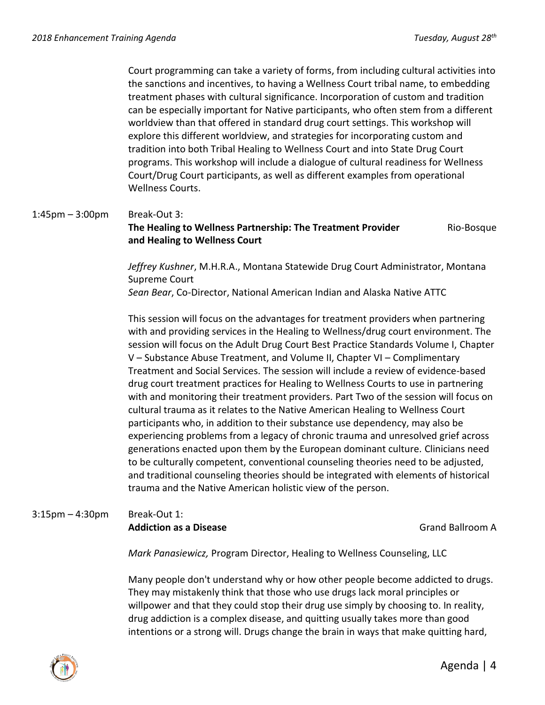Court programming can take a variety of forms, from including cultural activities into the sanctions and incentives, to having a Wellness Court tribal name, to embedding treatment phases with cultural significance. Incorporation of custom and tradition can be especially important for Native participants, who often stem from a different worldview than that offered in standard drug court settings. This workshop will explore this different worldview, and strategies for incorporating custom and tradition into both Tribal Healing to Wellness Court and into State Drug Court programs. This workshop will include a dialogue of cultural readiness for Wellness Court/Drug Court participants, as well as different examples from operational Wellness Courts.

# 1:45pm – 3:00pm Break-Out 3: **The Healing to Wellness Partnership: The Treatment Provider <b>Rio-Bosque and Healing to Wellness Court**

*Jeffrey Kushner*, M.H.R.A., Montana Statewide Drug Court Administrator, Montana Supreme Court *Sean Bear*, Co-Director, National American Indian and Alaska Native ATTC

This session will focus on the advantages for treatment providers when partnering with and providing services in the Healing to Wellness/drug court environment. The session will focus on the Adult Drug Court Best Practice Standards Volume I, Chapter V – Substance Abuse Treatment, and Volume II, Chapter VI – Complimentary Treatment and Social Services. The session will include a review of evidence-based drug court treatment practices for Healing to Wellness Courts to use in partnering with and monitoring their treatment providers. Part Two of the session will focus on cultural trauma as it relates to the Native American Healing to Wellness Court participants who, in addition to their substance use dependency, may also be experiencing problems from a legacy of chronic trauma and unresolved grief across generations enacted upon them by the European dominant culture. Clinicians need to be culturally competent, conventional counseling theories need to be adjusted, and traditional counseling theories should be integrated with elements of historical trauma and the Native American holistic view of the person.

### 3:15pm – 4:30pm Break-Out 1: **Addiction as a Disease** Grand Ballroom A

*Mark Panasiewicz,* Program Director, Healing to Wellness Counseling, LLC

Many people don't understand why or how other people become addicted to drugs. They may mistakenly think that those who use drugs lack moral principles or willpower and that they could stop their drug use simply by choosing to. In reality, drug addiction is a complex disease, and quitting usually takes more than good intentions or a strong will. Drugs change the brain in ways that make quitting hard,

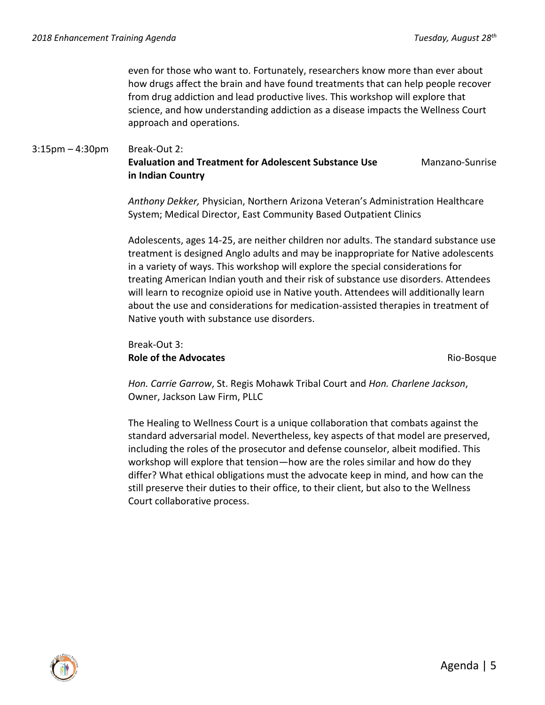even for those who want to. Fortunately, researchers know more than ever about how drugs affect the brain and have found treatments that can help people recover from drug addiction and lead productive lives. This workshop will explore that science, and how understanding addiction as a disease impacts the Wellness Court approach and operations.

#### 3:15pm – 4:30pm Break-Out 2:

#### **Evaluation and Treatment for Adolescent Substance Use Communism** Manzano-Sunrise **in Indian Country**

*Anthony Dekker,* Physician, Northern Arizona Veteran's Administration Healthcare System; Medical Director, East Community Based Outpatient Clinics

Adolescents, ages 14-25, are neither children nor adults. The standard substance use treatment is designed Anglo adults and may be inappropriate for Native adolescents in a variety of ways. This workshop will explore the special considerations for treating American Indian youth and their risk of substance use disorders. Attendees will learn to recognize opioid use in Native youth. Attendees will additionally learn about the use and considerations for medication-assisted therapies in treatment of Native youth with substance use disorders.

# Break-Out 3: **Role of the Advocates Rio-Bosque Rio-Bosque** Rio-Bosque

*Hon. Carrie Garrow*, St. Regis Mohawk Tribal Court and *Hon. Charlene Jackson*, Owner, Jackson Law Firm, PLLC

The Healing to Wellness Court is a unique collaboration that combats against the standard adversarial model. Nevertheless, key aspects of that model are preserved, including the roles of the prosecutor and defense counselor, albeit modified. This workshop will explore that tension—how are the roles similar and how do they differ? What ethical obligations must the advocate keep in mind, and how can the still preserve their duties to their office, to their client, but also to the Wellness Court collaborative process.

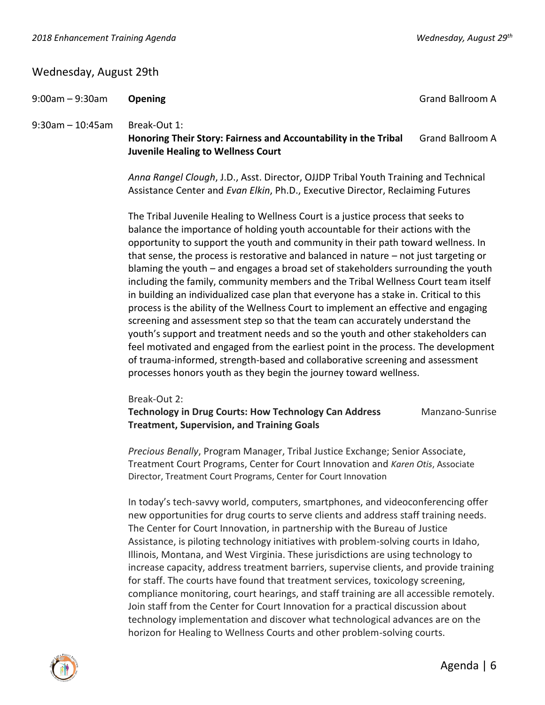# Wednesday, August 29th

9:00am – 9:30am **Opening** Grand Ballroom A

9:30am – 10:45am Break-Out 1:

**Honoring Their Story: Fairness and Accountability in the Tribal** Grand Ballroom A **Juvenile Healing to Wellness Court**

*Anna Rangel Clough*, J.D., Asst. Director, OJJDP Tribal Youth Training and Technical Assistance Center and *Evan Elkin*, Ph.D., Executive Director, Reclaiming Futures

The Tribal Juvenile Healing to Wellness Court is a justice process that seeks to balance the importance of holding youth accountable for their actions with the opportunity to support the youth and community in their path toward wellness. In that sense, the process is restorative and balanced in nature – not just targeting or blaming the youth – and engages a broad set of stakeholders surrounding the youth including the family, community members and the Tribal Wellness Court team itself in building an individualized case plan that everyone has a stake in. Critical to this process is the ability of the Wellness Court to implement an effective and engaging screening and assessment step so that the team can accurately understand the youth's support and treatment needs and so the youth and other stakeholders can feel motivated and engaged from the earliest point in the process. The development of trauma-informed, strength-based and collaborative screening and assessment processes honors youth as they begin the journey toward wellness.

Break-Out 2:

**Technology in Drug Courts: How Technology Can Address Manzano-Sunrise Treatment, Supervision, and Training Goals**

*Precious Benally*, Program Manager, Tribal Justice Exchange; Senior Associate, Treatment Court Programs, Center for Court Innovation and *Karen Otis*, Associate Director, Treatment Court Programs, Center for Court Innovation

In today's tech-savvy world, computers, smartphones, and videoconferencing offer new opportunities for drug courts to serve clients and address staff training needs. The Center for Court Innovation, in partnership with the Bureau of Justice Assistance, is piloting technology initiatives with problem-solving courts in Idaho, Illinois, Montana, and West Virginia. These jurisdictions are using technology to increase capacity, address treatment barriers, supervise clients, and provide training for staff. The courts have found that treatment services, toxicology screening, compliance monitoring, court hearings, and staff training are all accessible remotely. Join staff from the Center for Court Innovation for a practical discussion about technology implementation and discover what technological advances are on the horizon for Healing to Wellness Courts and other problem-solving courts.

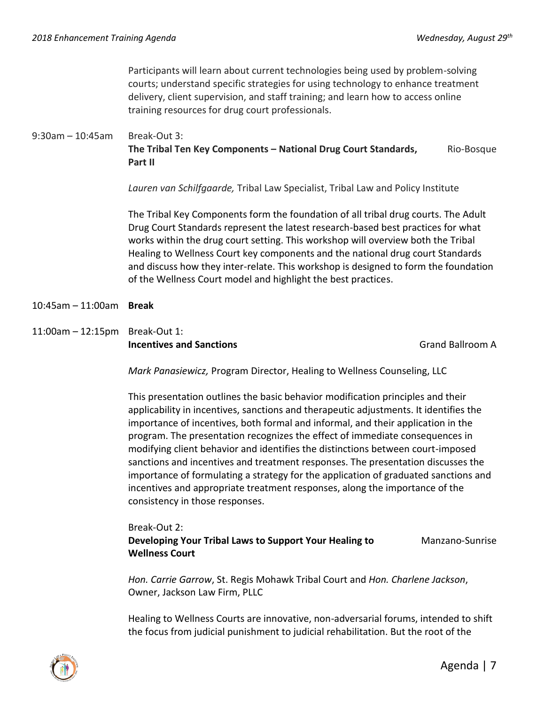Participants will learn about current technologies being used by problem-solving courts; understand specific strategies for using technology to enhance treatment delivery, client supervision, and staff training; and learn how to access online training resources for drug court professionals.

# 9:30am – 10:45am Break-Out 3:

**The Tribal Ten Key Components – National Drug Court Standards, Rio-Bosque Rio-Bosque Part II**

*Lauren van Schilfgaarde,* Tribal Law Specialist, Tribal Law and Policy Institute

The Tribal Key Components form the foundation of all tribal drug courts. The Adult Drug Court Standards represent the latest research-based best practices for what works within the drug court setting. This workshop will overview both the Tribal Healing to Wellness Court key components and the national drug court Standards and discuss how they inter-relate. This workshop is designed to form the foundation of the Wellness Court model and highlight the best practices.

#### 10:45am – 11:00am **Break**

11:00am – 12:15pm Break-Out 1: **Incentives and Sanctions** Grand Ballroom A

*Mark Panasiewicz,* Program Director, Healing to Wellness Counseling, LLC

This presentation outlines the basic behavior modification principles and their applicability in incentives, sanctions and therapeutic adjustments. It identifies the importance of incentives, both formal and informal, and their application in the program. The presentation recognizes the effect of immediate consequences in modifying client behavior and identifies the distinctions between court-imposed sanctions and incentives and treatment responses. The presentation discusses the importance of formulating a strategy for the application of graduated sanctions and incentives and appropriate treatment responses, along the importance of the consistency in those responses.

## Break-Out 2:

**Developing Your Tribal Laws to Support Your Healing to Manzano-Sunrise Wellness Court** 

*Hon. Carrie Garrow*, St. Regis Mohawk Tribal Court and *Hon. Charlene Jackson*, Owner, Jackson Law Firm, PLLC

Healing to Wellness Courts are innovative, non-adversarial forums, intended to shift the focus from judicial punishment to judicial rehabilitation. But the root of the

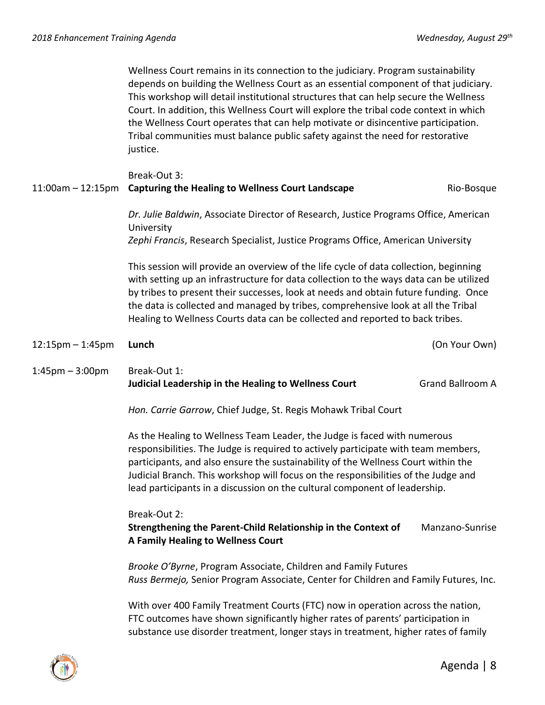Wellness Court remains in its connection to the judiciary. Program sustainability depends on building the Wellness Court as an essential component of that judiciary. This workshop will detail institutional structures that can help secure the Wellness Court. In addition, this Wellness Court will explore the tribal code context in which the Wellness Court operates that can help motivate or disincentive participation. Tribal communities must balance public safety against the need for restorative justice.

# Break-Out 3: 11:00am – 12:15pm **Capturing the Healing to Wellness Court Landscape** Rio-Bosque *Dr. Julie Baldwin*, Associate Director of Research, Justice Programs Office, American University *Zephi Francis*, Research Specialist, Justice Programs Office, American University This session will provide an overview of the life cycle of data collection, beginning with setting up an infrastructure for data collection to the ways data can be utilized by tribes to present their successes, look at needs and obtain future funding. Once the data is collected and managed by tribes, comprehensive look at all the Tribal

12:15pm – 1:45pm **Lunch** (On Your Own)

# 1:45pm – 3:00pm Break-Out 1: **Judicial Leadership in the Healing to Wellness Court** Grand Ballroom A

*Hon. Carrie Garrow*, Chief Judge, St. Regis Mohawk Tribal Court

As the Healing to Wellness Team Leader, the Judge is faced with numerous responsibilities. The Judge is required to actively participate with team members, participants, and also ensure the sustainability of the Wellness Court within the Judicial Branch. This workshop will focus on the responsibilities of the Judge and lead participants in a discussion on the cultural component of leadership.

Healing to Wellness Courts data can be collected and reported to back tribes.

Break-Out 2:

**Strengthening the Parent-Child Relationship in the Context of Manzano-Sunrise A Family Healing to Wellness Court** 

*Brooke O'Byrne*, Program Associate, Children and Family Futures *Russ Bermejo,* Senior Program Associate, Center for Children and Family Futures, Inc.

With over 400 Family Treatment Courts (FTC) now in operation across the nation, FTC outcomes have shown significantly higher rates of parents' participation in substance use disorder treatment, longer stays in treatment, higher rates of family

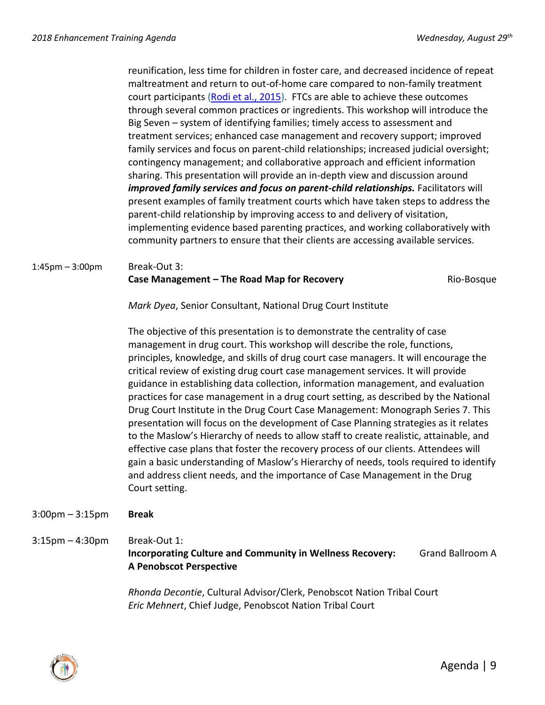reunification, less time for children in foster care, and decreased incidence of repeat maltreatment and return to out-of-home care compared to non-family treatment court participants [\(Rodi et al., 2015\)](https://www.ncbi.nlm.nih.gov/pubmed/26827483). FTCs are able to achieve these outcomes through several common practices or ingredients. This workshop will introduce the Big Seven – system of identifying families; timely access to assessment and treatment services; enhanced case management and recovery support; improved family services and focus on parent-child relationships; increased judicial oversight; contingency management; and collaborative approach and efficient information sharing. This presentation will provide an in-depth view and discussion around *improved family services and focus on parent-child relationships.* Facilitators will present examples of family treatment courts which have taken steps to address the parent-child relationship by improving access to and delivery of visitation, implementing evidence based parenting practices, and working collaboratively with community partners to ensure that their clients are accessing available services.

1:45pm – 3:00pm Break-Out 3:

#### **Case Management – The Road Map for Recovery <b>Rio-Bosque** Rio-Bosque

*Mark Dyea*, Senior Consultant, National Drug Court Institute

The objective of this presentation is to demonstrate the centrality of case management in drug court. This workshop will describe the role, functions, principles, knowledge, and skills of drug court case managers. It will encourage the critical review of existing drug court case management services. It will provide guidance in establishing data collection, information management, and evaluation practices for case management in a drug court setting, as described by the National Drug Court Institute in the Drug Court Case Management: Monograph Series 7. This presentation will focus on the development of Case Planning strategies as it relates to the Maslow's Hierarchy of needs to allow staff to create realistic, attainable, and effective case plans that foster the recovery process of our clients. Attendees will gain a basic understanding of Maslow's Hierarchy of needs, tools required to identify and address client needs, and the importance of Case Management in the Drug Court setting.

#### 3:00pm – 3:15pm **Break**

# 3:15pm – 4:30pm Break-Out 1: **Incorporating Culture and Community in Wellness Recovery:** Grand Ballroom A **A Penobscot Perspective**

*Rhonda Decontie*, Cultural Advisor/Clerk, Penobscot Nation Tribal Court *Eric Mehnert*, Chief Judge, Penobscot Nation Tribal Court

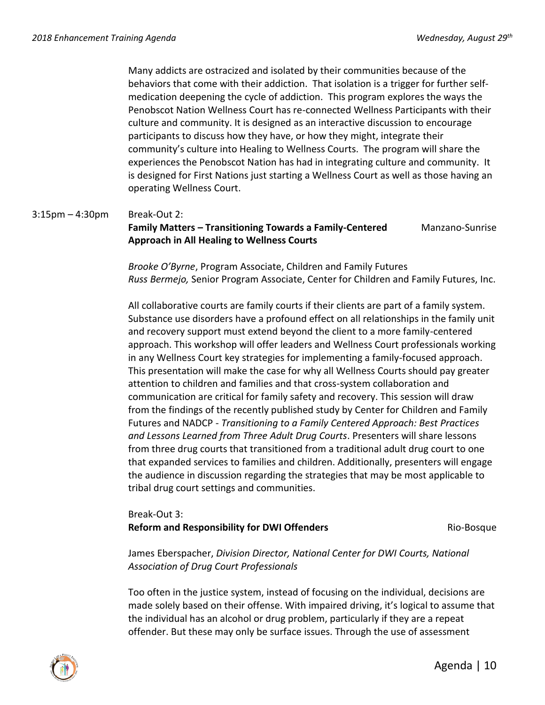Many addicts are ostracized and isolated by their communities because of the behaviors that come with their addiction. That isolation is a trigger for further selfmedication deepening the cycle of addiction. This program explores the ways the Penobscot Nation Wellness Court has re-connected Wellness Participants with their culture and community. It is designed as an interactive discussion to encourage participants to discuss how they have, or how they might, integrate their community's culture into Healing to Wellness Courts. The program will share the experiences the Penobscot Nation has had in integrating culture and community. It is designed for First Nations just starting a Wellness Court as well as those having an operating Wellness Court.

#### 3:15pm – 4:30pm Break-Out 2:

#### **Family Matters – Transitioning Towards a Family-Centered** Manzano-Sunrise **Approach in All Healing to Wellness Courts**

*Brooke O'Byrne*, Program Associate, Children and Family Futures *Russ Bermejo,* Senior Program Associate, Center for Children and Family Futures, Inc.

All collaborative courts are family courts if their clients are part of a family system. Substance use disorders have a profound effect on all relationships in the family unit and recovery support must extend beyond the client to a more family-centered approach. This workshop will offer leaders and Wellness Court professionals working in any Wellness Court key strategies for implementing a family-focused approach. This presentation will make the case for why all Wellness Courts should pay greater attention to children and families and that cross-system collaboration and communication are critical for family safety and recovery. This session will draw from the findings of the recently published study by Center for Children and Family Futures and NADCP - *Transitioning to a Family Centered Approach: Best Practices and Lessons Learned from Three Adult Drug Courts*. Presenters will share lessons from three drug courts that transitioned from a traditional adult drug court to one that expanded services to families and children. Additionally, presenters will engage the audience in discussion regarding the strategies that may be most applicable to tribal drug court settings and communities.

# Break-Out 3: **Reform and Responsibility for DWI Offenders Rio-Bosque Rio-Bosque**

James Eberspacher, *Division Director, National Center for DWI Courts, National Association of Drug Court Professionals*

Too often in the justice system, instead of focusing on the individual, decisions are made solely based on their offense. With impaired driving, it's logical to assume that the individual has an alcohol or drug problem, particularly if they are a repeat offender. But these may only be surface issues. Through the use of assessment

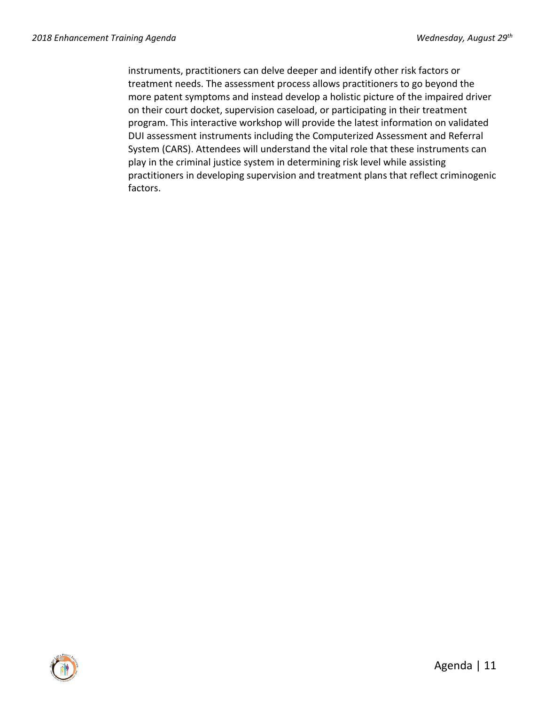instruments, practitioners can delve deeper and identify other risk factors or treatment needs. The assessment process allows practitioners to go beyond the more patent symptoms and instead develop a holistic picture of the impaired driver on their court docket, supervision caseload, or participating in their treatment program. This interactive workshop will provide the latest information on validated DUI assessment instruments including the Computerized Assessment and Referral System (CARS). Attendees will understand the vital role that these instruments can play in the criminal justice system in determining risk level while assisting practitioners in developing supervision and treatment plans that reflect criminogenic factors.

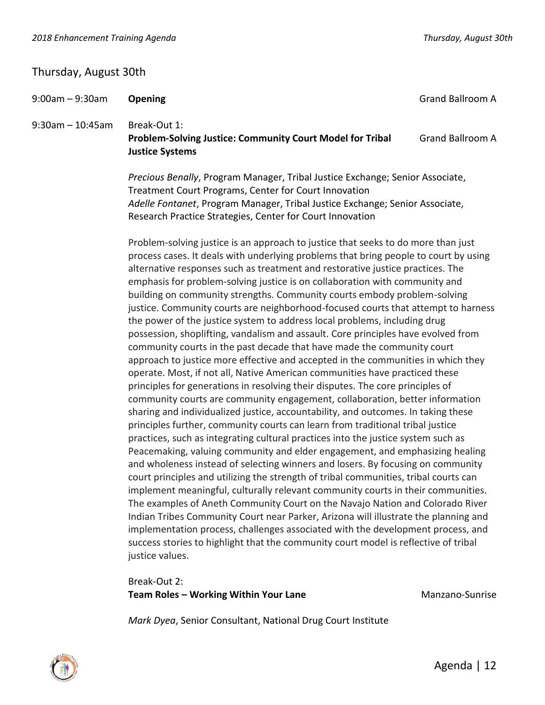# Thursday, August 30th

| $9:00am - 9:30am$     | Opening                                                                                                                                                                                                                                                                                                                                                                                                                                                                                                                                                                                                                                                                                                                                                                                                                                                                                                                                                                                                                                                                                                                                                                                                                                                                                                                                                                                                                                                                                                                                                                                                                                                                                                                                                                                                                                                                         | <b>Grand Ballroom A</b> |  |
|-----------------------|---------------------------------------------------------------------------------------------------------------------------------------------------------------------------------------------------------------------------------------------------------------------------------------------------------------------------------------------------------------------------------------------------------------------------------------------------------------------------------------------------------------------------------------------------------------------------------------------------------------------------------------------------------------------------------------------------------------------------------------------------------------------------------------------------------------------------------------------------------------------------------------------------------------------------------------------------------------------------------------------------------------------------------------------------------------------------------------------------------------------------------------------------------------------------------------------------------------------------------------------------------------------------------------------------------------------------------------------------------------------------------------------------------------------------------------------------------------------------------------------------------------------------------------------------------------------------------------------------------------------------------------------------------------------------------------------------------------------------------------------------------------------------------------------------------------------------------------------------------------------------------|-------------------------|--|
| $9:30$ am $-10:45$ am | Break-Out 1:<br>Problem-Solving Justice: Community Court Model for Tribal<br><b>Justice Systems</b>                                                                                                                                                                                                                                                                                                                                                                                                                                                                                                                                                                                                                                                                                                                                                                                                                                                                                                                                                                                                                                                                                                                                                                                                                                                                                                                                                                                                                                                                                                                                                                                                                                                                                                                                                                             | <b>Grand Ballroom A</b> |  |
|                       | Precious Benally, Program Manager, Tribal Justice Exchange; Senior Associate,<br>Treatment Court Programs, Center for Court Innovation<br>Adelle Fontanet, Program Manager, Tribal Justice Exchange; Senior Associate,<br>Research Practice Strategies, Center for Court Innovation                                                                                                                                                                                                                                                                                                                                                                                                                                                                                                                                                                                                                                                                                                                                                                                                                                                                                                                                                                                                                                                                                                                                                                                                                                                                                                                                                                                                                                                                                                                                                                                             |                         |  |
|                       | Problem-solving justice is an approach to justice that seeks to do more than just<br>process cases. It deals with underlying problems that bring people to court by using<br>alternative responses such as treatment and restorative justice practices. The<br>emphasis for problem-solving justice is on collaboration with community and<br>building on community strengths. Community courts embody problem-solving<br>justice. Community courts are neighborhood-focused courts that attempt to harness<br>the power of the justice system to address local problems, including drug<br>possession, shoplifting, vandalism and assault. Core principles have evolved from<br>community courts in the past decade that have made the community court<br>approach to justice more effective and accepted in the communities in which they<br>operate. Most, if not all, Native American communities have practiced these<br>principles for generations in resolving their disputes. The core principles of<br>community courts are community engagement, collaboration, better information<br>sharing and individualized justice, accountability, and outcomes. In taking these<br>principles further, community courts can learn from traditional tribal justice<br>practices, such as integrating cultural practices into the justice system such as<br>Peacemaking, valuing community and elder engagement, and emphasizing healing<br>and wholeness instead of selecting winners and losers. By focusing on community<br>court principles and utilizing the strength of tribal communities, tribal courts can<br>implement meaningful, culturally relevant community courts in their communities.<br>The examples of Aneth Community Court on the Navajo Nation and Colorado River<br>Indian Tribes Community Court near Parker, Arizona will illustrate the planning and |                         |  |

Break-Out 2: **Team Roles – Working Within Your Lane** Manzano-Sunrise

justice values.

*Mark Dyea*, Senior Consultant, National Drug Court Institute

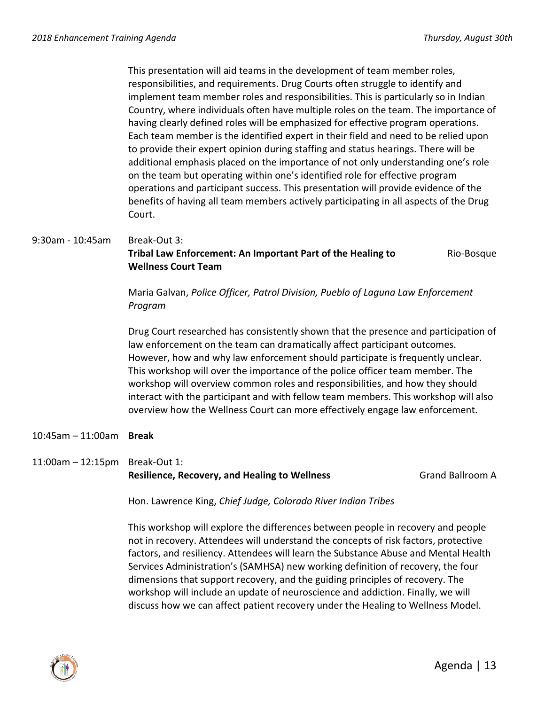This presentation will aid teams in the development of team member roles, responsibilities, and requirements. Drug Courts often struggle to identify and implement team member roles and responsibilities. This is particularly so in Indian Country, where individuals often have multiple roles on the team. The importance of having clearly defined roles will be emphasized for effective program operations. Each team member is the identified expert in their field and need to be relied upon to provide their expert opinion during staffing and status hearings. There will be additional emphasis placed on the importance of not only understanding one's role on the team but operating within one's identified role for effective program operations and participant success. This presentation will provide evidence of the benefits of having all team members actively participating in all aspects of the Drug Court.

### 9:30am - 10:45am Break-Out 3: **Tribal Law Enforcement: An Important Part of the Healing to The Rio-Bosque Wellness Court Team**

Maria Galvan, *Police Officer, Patrol Division, Pueblo of Laguna Law Enforcement Program*

Drug Court researched has consistently shown that the presence and participation of law enforcement on the team can dramatically affect participant outcomes. However, how and why law enforcement should participate is frequently unclear. This workshop will over the importance of the police officer team member. The workshop will overview common roles and responsibilities, and how they should interact with the participant and with fellow team members. This workshop will also overview how the Wellness Court can more effectively engage law enforcement.

10:45am – 11:00am **Break**

# 11:00am – 12:15pm Break-Out 1: **Resilience, Recovery, and Healing to Wellness The Communist Communist Communist Communist Communist Communist Communist Communist Communist Communist Communist Communist Communist Communist Communist Communist Communist C**

Hon. Lawrence King, *Chief Judge, Colorado River Indian Tribes*

This workshop will explore the differences between people in recovery and people not in recovery. Attendees will understand the concepts of risk factors, protective factors, and resiliency. Attendees will learn the Substance Abuse and Mental Health Services Administration's (SAMHSA) new working definition of recovery, the four dimensions that support recovery, and the guiding principles of recovery. The workshop will include an update of neuroscience and addiction. Finally, we will discuss how we can affect patient recovery under the Healing to Wellness Model.